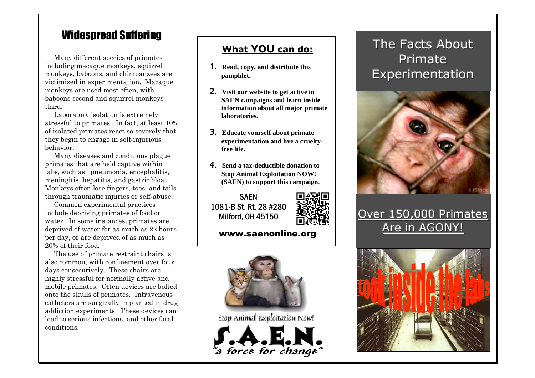### Widespread Suffering

Many different species of primates including macaque monkeys, squirrel monkeys, baboons, and chimpanzees are victimized in experimentation. Macaque monkeys are used most often, with baboons second and squirrel monkeys third.

Laboratory isolation is extremely stressful to primates. In fact, at least 10% of isolated primates react so severely that they begin to engage in self-injurious behavior.

Many diseases and conditions plague primates that are held captive within labs, such as: pneumonia, encephalitis, meningitis, hepatitis, and gastric bloat. Monkeys often lose fingers, toes, and tails through traumatic injuries or self-abuse.

Common experimental practices include depriving primates of food or water. In some instances, primates are deprived of water for as much as 22 hours per day, or are deprived of as much as 20% of their food.

The use of primate restraint chairs is also common, with confinement over four days consecutively. These chairs are highly stressful for normally active and mobile primates. Often devices are bolted onto the skulls of primates. Intravenous catheters are surgically implanted in drug addiction experiments. These devices can lead to serious infections, and other fatal conditions.

#### **What YOU can do:**

- 1. **Read, copy, and distribute this pamphlet.**
- 2. **Visit our website to get active in SAEN campaigns and learn inside information about all major primate laboratories.**
- 3. **Educate yourself about primate experimentation and live a crueltyfree life.**
- 4. **Send a tax-deductible donation to Stop Animal Exploitation NOW! (SAEN) to support this campaign.**

**SAFN** 1081-B St. Rt. 28 #280 Milford, OH 45150



#### www.saenonline.org



Stop Animal Exploitation Now!



# The Facts About Primate Experimentation



## Over 150,000 Primates Are in AGONY!